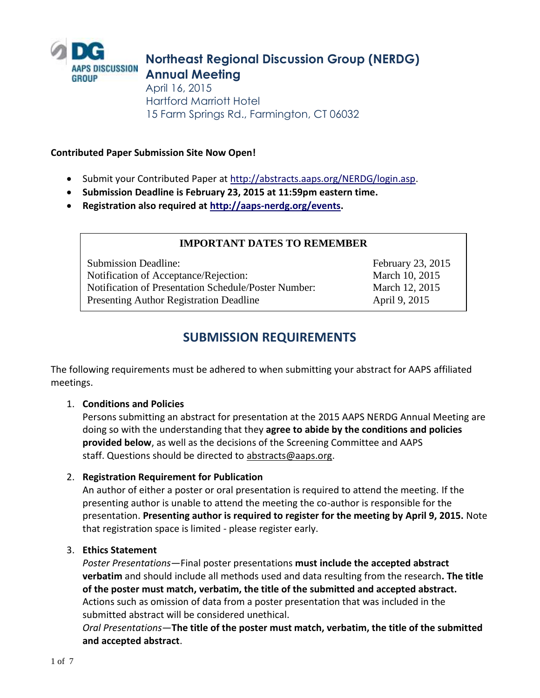

# **Northeast Regional Discussion Group (NERDG) Annual Meeting**

April 16, 2015 Hartford Marriott Hotel 15 Farm Springs Rd., Farmington, CT 06032

## **Contributed Paper Submission Site Now Open!**

- Submit your Contributed Paper at [http://abstracts.aaps.org/NERDG/login.asp.](http://abstracts.aaps.org/NERDG/login.asp)
- **Submission Deadline is February 23, 2015 at 11:59pm eastern time.**
- **Registration also required at [http://aaps-nerdg.org/events.](http://aaps-nerdg.org/events)**

## **IMPORTANT DATES TO REMEMBER**

Submission Deadline: February 23, 2015 Notification of Acceptance/Rejection: March 10, 2015 Notification of Presentation Schedule/Poster Number: March 12, 2015 Presenting Author Registration Deadline April 9, 2015

# **SUBMISSION REQUIREMENTS**

The following requirements must be adhered to when submitting your abstract for AAPS affiliated meetings.

## 1. **Conditions and Policies**

Persons submitting an abstract for presentation at the 2015 AAPS NERDG Annual Meeting are doing so with the understanding that they **agree to abide by the conditions and policies provided below**, as well as the decisions of the Screening Committee and AAPS staff. Questions should be directed to [abstracts@aaps.org.](mailto:abstracts@aaps.org)

## 2. **Registration Requirement for Publication**

An author of either a poster or oral presentation is required to attend the meeting. If the presenting author is unable to attend the meeting the co-author is responsible for the presentation. **Presenting author is required to register for the meeting by April 9, 2015.** Note that registration space is limited - please register early.

## 3. **Ethics Statement**

*Poster Presentations—*Final poster presentations **must include the accepted abstract verbatim** and should include all methods used and data resulting from the research**. The title of the poster must match, verbatim, the title of the submitted and accepted abstract.** Actions such as omission of data from a poster presentation that was included in the submitted abstract will be considered unethical.

*Oral Presentations—***The title of the poster must match, verbatim, the title of the submitted and accepted abstract**.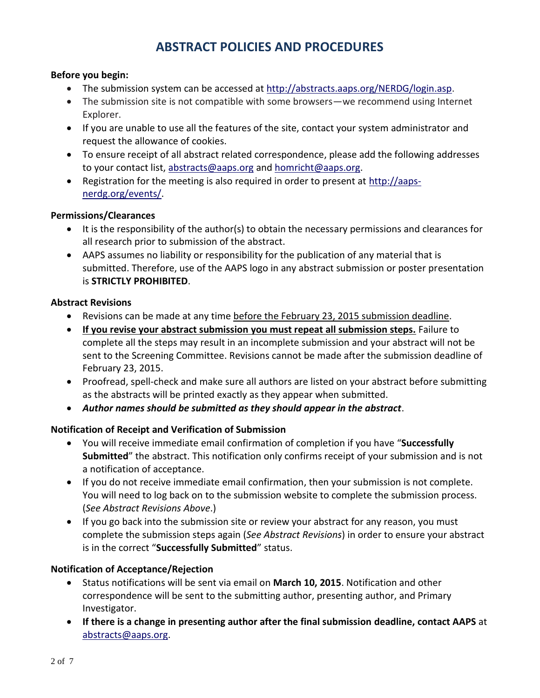# **ABSTRACT POLICIES AND PROCEDURES**

#### **Before you begin:**

- The submission system can be accessed at [http://abstracts.aaps.org/NERDG/login.asp.](http://abstracts.aaps.org/NERDG/login.asp)
- The submission site is not compatible with some browsers—we recommend using Internet Explorer.
- If you are unable to use all the features of the site, contact your system administrator and request the allowance of cookies.
- To ensure receipt of all abstract related correspondence, please add the following addresses to your contact list, [abstracts@aaps.org](mailto:abstracts@aaps.org) and [homricht@aaps.org.](mailto:homricht@aaps.org)
- Registration for the meeting is also required in order to present at [http://aaps](http://aaps-nerdg.org/events/)[nerdg.org/events/.](http://aaps-nerdg.org/events/)

#### **Permissions/Clearances**

- It is the responsibility of the author(s) to obtain the necessary permissions and clearances for all research prior to submission of the abstract.
- AAPS assumes no liability or responsibility for the publication of any material that is submitted. Therefore, use of the AAPS logo in any abstract submission or poster presentation is **STRICTLY PROHIBITED**.

## **Abstract Revisions**

- Revisions can be made at any time before the February 23, 2015 submission deadline.
- **If you revise your abstract submission you must repeat all submission steps.** Failure to complete all the steps may result in an incomplete submission and your abstract will not be sent to the Screening Committee. Revisions cannot be made after the submission deadline of February 23, 2015.
- Proofread, spell-check and make sure all authors are listed on your abstract before submitting as the abstracts will be printed exactly as they appear when submitted.
- *Author names should be submitted as they should appear in the abstract*.

## **Notification of Receipt and Verification of Submission**

- You will receive immediate email confirmation of completion if you have "**Successfully Submitted**" the abstract. This notification only confirms receipt of your submission and is not a notification of acceptance.
- If you do not receive immediate email confirmation, then your submission is not complete. You will need to log back on to the submission website to complete the submission process. (*See Abstract Revisions Above*.)
- If you go back into the submission site or review your abstract for any reason, you must complete the submission steps again (*See Abstract Revisions*) in order to ensure your abstract is in the correct "**Successfully Submitted**" status.

## **Notification of Acceptance/Rejection**

- Status notifications will be sent via email on **March 10, 2015**. Notification and other correspondence will be sent to the submitting author, presenting author, and Primary Investigator.
- **If there is a change in presenting author after the final submission deadline, contact AAPS** at [abstracts@aaps.org.](mailto:abstracts@aaps.org)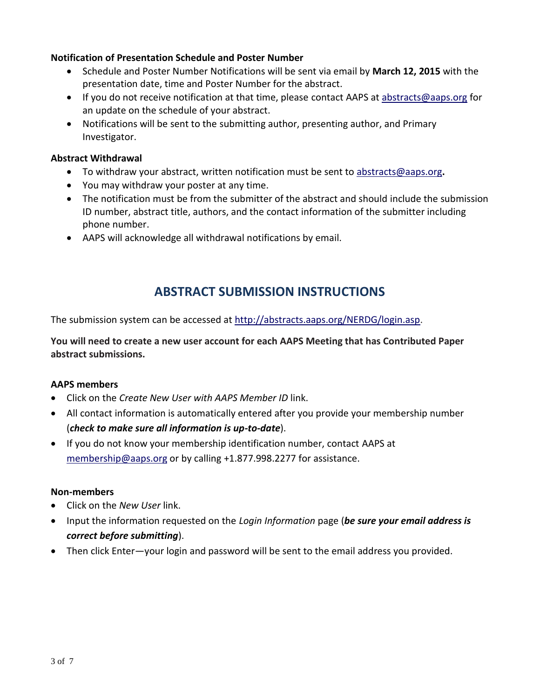#### **Notification of Presentation Schedule and Poster Number**

- Schedule and Poster Number Notifications will be sent via email by **March 12, 2015** with the presentation date, time and Poster Number for the abstract.
- If you do not receive notification at that time, please contact AAPS at [abstracts@aaps.org](mailto:abstracts@aaps.org) for an update on the schedule of your abstract.
- Notifications will be sent to the submitting author, presenting author, and Primary Investigator.

#### **Abstract Withdrawal**

- To withdraw your abstract, written notification must be sent to [abstracts@aaps.org](mailto:abstracts@aaps.org)**.**
- You may withdraw your poster at any time.
- The notification must be from the submitter of the abstract and should include the submission ID number, abstract title, authors, and the contact information of the submitter including phone number.
- AAPS will acknowledge all withdrawal notifications by email.

# **ABSTRACT SUBMISSION INSTRUCTIONS**

The submission system can be accessed at [http://abstracts.aaps.org/NERDG/login.asp.](http://abstracts.aaps.org/NERDG/login.asp)

**You will need to create a new user account for each AAPS Meeting that has Contributed Paper abstract submissions.** 

## **AAPS members**

- Click on the *Create New User with AAPS Member ID* link.
- All contact information is automatically entered after you provide your membership number (*check to make sure all information is up-to-date*).
- If you do not know your membership identification number, contact AAPS at [membership@aaps.org](mailto:membership@aaps.org) or by calling +1.877.998.2277 for assistance.

#### **Non-members**

- Click on the *New User* link.
- Input the information requested on the *Login Information* page (*be sure your email address is correct before submitting*).
- Then click Enter—your login and password will be sent to the email address you provided.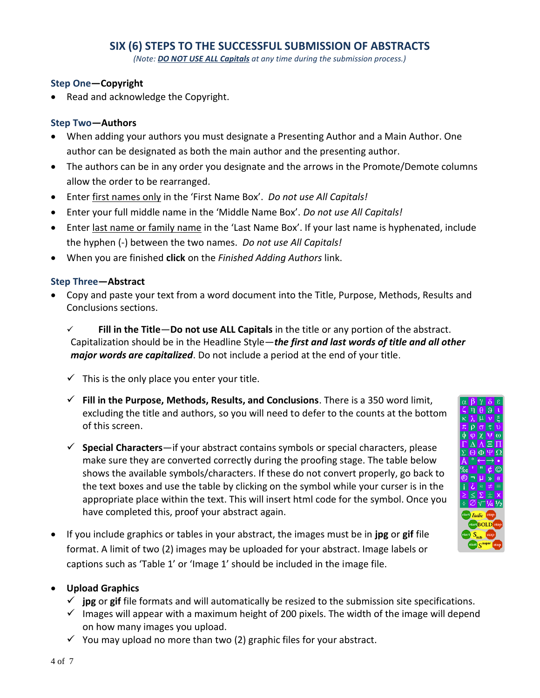## **SIX (6) STEPS TO THE SUCCESSFUL SUBMISSION OF ABSTRACTS**

*(Note: DO NOT USE ALL Capitals at any time during the submission process.)*

#### **Step One—Copyright**

• Read and acknowledge the Copyright.

#### **Step Two—Authors**

- When adding your authors you must designate a Presenting Author and a Main Author. One author can be designated as both the main author and the presenting author.
- The authors can be in any order you designate and the arrows in the Promote/Demote columns allow the order to be rearranged.
- Enter first names only in the 'First Name Box'. *Do not use All Capitals!*
- Enter your full middle name in the 'Middle Name Box'. *Do not use All Capitals!*
- Enter last name or family name in the 'Last Name Box'. If your last name is hyphenated, include the hyphen (-) between the two names. *Do not use All Capitals!*
- When you are finished **click** on the *Finished Adding Authors* link.

#### **Step Three—Abstract**

- Copy and paste your text from a word document into the Title, Purpose, Methods, Results and Conclusions sections.
	- **Fill in the Title**—**Do not use ALL Capitals** in the title or any portion of the abstract. Capitalization should be in the Headline Style—*the first and last words of title and all other major words are capitalized*. Do not include a period at the end of your title.
	- $\checkmark$  This is the only place you enter your title.
	- **Fill in the Purpose, Methods, Results, and Conclusions**. There is a 350 word limit, excluding the title and authors, so you will need to defer to the counts at the bottom of this screen.
	- **Special Characters**—if your abstract contains symbols or special characters, please make sure they are converted correctly during the proofing stage. The table below shows the available symbols/characters. If these do not convert properly, go back to the text boxes and use the table by clicking on the symbol while your curser is in the appropriate place within the text. This will insert html code for the symbol. Once you have completed this, proof your abstract again.
- If you include graphics or tables in your abstract, the images must be in **jpg** or **gif** file format. A limit of two (2) images may be uploaded for your abstract. Image labels or captions such as 'Table 1' or 'Image 1' should be included in the image file.

## **Upload Graphics**

- $\checkmark$  **jpg** or gif file formats and will automatically be resized to the submission site specifications.
- $\checkmark$  Images will appear with a maximum height of 200 pixels. The width of the image will depend on how many images you upload.
- $\checkmark$  You may upload no more than two (2) graphic files for your abstract.

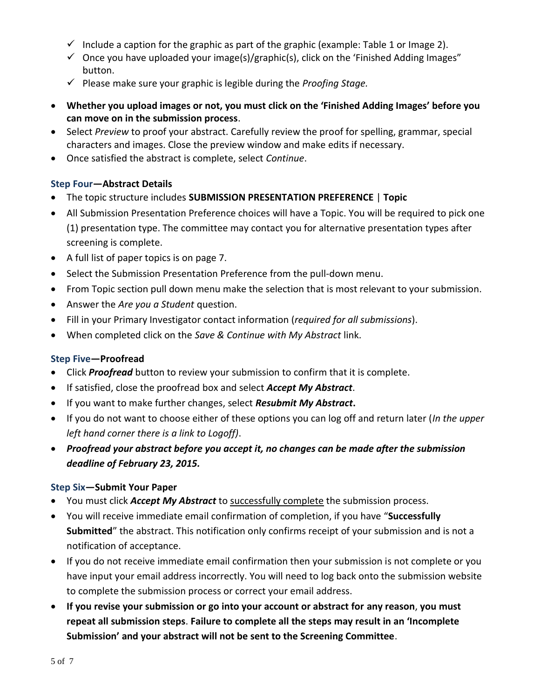- $\checkmark$  Include a caption for the graphic as part of the graphic (example: Table 1 or Image 2).
- $\checkmark$  Once you have uploaded your image(s)/graphic(s), click on the 'Finished Adding Images" button.
- Please make sure your graphic is legible during the *Proofing Stage.*
- **Whether you upload images or not, you must click on the 'Finished Adding Images' before you can move on in the submission process**.
- Select *Preview* to proof your abstract. Carefully review the proof for spelling, grammar, special characters and images. Close the preview window and make edits if necessary.
- Once satisfied the abstract is complete, select *Continue*.

## **Step Four—Abstract Details**

- The topic structure includes **SUBMISSION PRESENTATION PREFERENCE** | **Topic**
- All Submission Presentation Preference choices will have a Topic. You will be required to pick one (1) presentation type. The committee may contact you for alternative presentation types after screening is complete.
- A full list of paper topics is on page 7.
- Select the Submission Presentation Preference from the pull-down menu.
- From Topic section pull down menu make the selection that is most relevant to your submission.
- Answer the *Are you a Student* question.
- Fill in your Primary Investigator contact information (*required for all submissions*).
- When completed click on the *Save & Continue with My Abstract* link.

## **Step Five—Proofread**

- Click *Proofread* button to review your submission to confirm that it is complete.
- If satisfied, close the proofread box and select *Accept My Abstract*.
- If you want to make further changes, select *Resubmit My Abstract***.**
- If you do not want to choose either of these options you can log off and return later (*In the upper left hand corner there is a link to Logoff)*.
- *Proofread your abstract before you accept it, no changes can be made after the submission deadline of February 23, 2015.*

## **Step Six—Submit Your Paper**

- You must click *Accept My Abstract* to successfully complete the submission process.
- You will receive immediate email confirmation of completion, if you have "**Successfully Submitted**" the abstract. This notification only confirms receipt of your submission and is not a notification of acceptance.
- If you do not receive immediate email confirmation then your submission is not complete or you have input your email address incorrectly. You will need to log back onto the submission website to complete the submission process or correct your email address.
- **If you revise your submission or go into your account or abstract for any reason**, **you must repeat all submission steps**. **Failure to complete all the steps may result in an 'Incomplete Submission' and your abstract will not be sent to the Screening Committee**.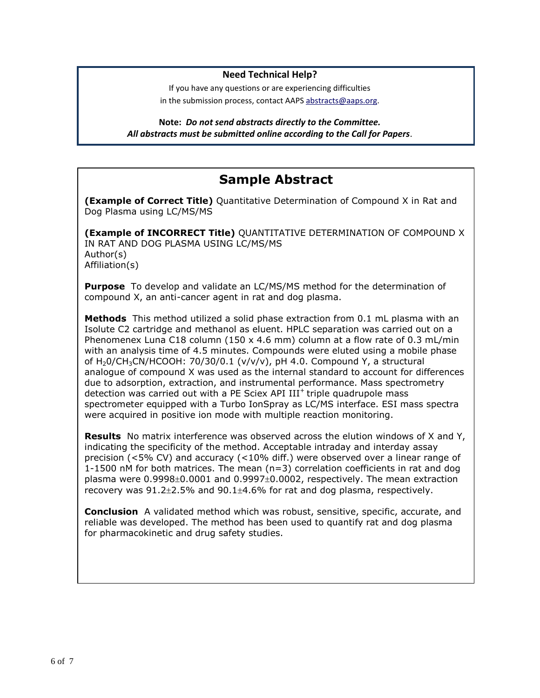#### **Need Technical Help?**

If you have any questions or are experiencing difficulties in the submission process, contact AAPS [abstracts@aaps.org.](mailto:abstracts@aaps.org)

**Note:** *Do not send abstracts directly to the Committee. All abstracts must be submitted online according to the Call for Papers*.

# **Sample Abstract**

**(Example of Correct Title)** Quantitative Determination of Compound X in Rat and Dog Plasma using LC/MS/MS

**(Example of INCORRECT Title)** QUANTITATIVE DETERMINATION OF COMPOUND X IN RAT AND DOG PLASMA USING LC/MS/MS Author(s) Affiliation(s)

**Purpose** To develop and validate an LC/MS/MS method for the determination of compound X, an anti-cancer agent in rat and dog plasma.

**Methods** This method utilized a solid phase extraction from 0.1 mL plasma with an Isolute C2 cartridge and methanol as eluent. HPLC separation was carried out on a Phenomenex Luna C18 column (150 x 4.6 mm) column at a flow rate of 0.3 mL/min with an analysis time of 4.5 minutes. Compounds were eluted using a mobile phase of H<sub>2</sub>O/CH<sub>3</sub>CN/HCOOH: 70/30/0.1 (v/v/v), pH 4.0. Compound Y, a structural analogue of compound X was used as the internal standard to account for differences due to adsorption, extraction, and instrumental performance. Mass spectrometry detection was carried out with a PE Sciex API  $III<sup>+</sup>$  triple quadrupole mass spectrometer equipped with a Turbo IonSpray as LC/MS interface. ESI mass spectra were acquired in positive ion mode with multiple reaction monitoring.

**Results** No matrix interference was observed across the elution windows of X and Y, indicating the specificity of the method. Acceptable intraday and interday assay precision (<5% CV) and accuracy (<10% diff.) were observed over a linear range of 1-1500 nM for both matrices. The mean  $(n=3)$  correlation coefficients in rat and dog plasma were  $0.9998\pm0.0001$  and  $0.9997\pm0.0002$ , respectively. The mean extraction recovery was  $91.2 \pm 2.5\%$  and  $90.1 \pm 4.6\%$  for rat and dog plasma, respectively.

**Conclusion** A validated method which was robust, sensitive, specific, accurate, and reliable was developed. The method has been used to quantify rat and dog plasma for pharmacokinetic and drug safety studies.